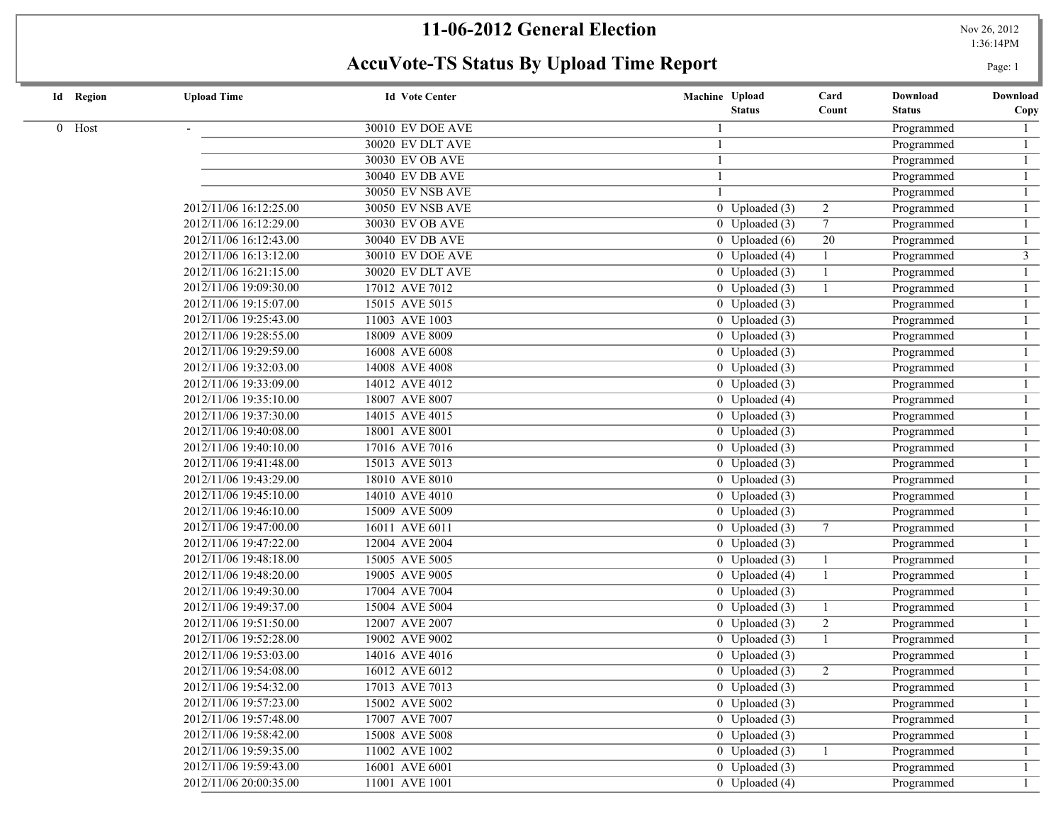## **11-06-2012 General Election** Nov 26, 2012

1:36:14PM

# **AccuVote-TS Status By Upload Time Report** Page: 1

|  | <b>Id</b> Region | <b>Upload Time</b>     | <b>Id Vote Center</b>   | Machine Upload |                             | Card            | Download      | Download       |
|--|------------------|------------------------|-------------------------|----------------|-----------------------------|-----------------|---------------|----------------|
|  |                  |                        |                         |                | <b>Status</b>               | Count           | <b>Status</b> | Copy           |
|  | 0 Host           |                        | <b>30010 EV DOE AVE</b> |                |                             |                 | Programmed    | $\mathbf{1}$   |
|  |                  |                        | 30020 EV DLT AVE        |                |                             |                 | Programmed    | $\mathbf{1}$   |
|  |                  |                        | 30030 EV OB AVE         |                |                             |                 | Programmed    | $\mathbf{1}$   |
|  |                  |                        | 30040 EV DB AVE         |                |                             |                 | Programmed    | $\mathbf{1}$   |
|  |                  |                        | <b>30050 EV NSB AVE</b> |                |                             |                 | Programmed    | $\mathbf{1}$   |
|  |                  | 2012/11/06 16:12:25.00 | <b>30050 EV NSB AVE</b> |                | 0 Uploaded $(3)$            | $\overline{2}$  | Programmed    | $\overline{1}$ |
|  |                  | 2012/11/06 16:12:29.00 | <b>30030 EV OB AVE</b>  |                | $0$ Uploaded $(3)$          | $7^{\circ}$     | Programmed    | $\overline{1}$ |
|  |                  | 2012/11/06 16:12:43.00 | <b>30040 EV DB AVE</b>  |                | $\overline{0}$ Uploaded (6) | $\overline{20}$ | Programmed    | $\overline{1}$ |
|  |                  | 2012/11/06 16:13:12.00 | 30010 EV DOE AVE        |                | $0$ Uploaded (4)            |                 | Programmed    | $\overline{3}$ |
|  |                  | 2012/11/06 16:21:15.00 | 30020 EV DLT AVE        |                | $0$ Uploaded $(3)$          | $\overline{1}$  | Programmed    | 1              |
|  |                  | 2012/11/06 19:09:30.00 | 17012 AVE 7012          |                | $0$ Uploaded $(3)$          |                 | Programmed    | $\mathbf{1}$   |
|  |                  | 2012/11/06 19:15:07.00 | 15015 AVE 5015          |                | $0$ Uploaded $(3)$          |                 | Programmed    | $\mathbf{1}$   |
|  |                  | 2012/11/06 19:25:43.00 | 11003 AVE 1003          |                | $0$ Uploaded $(3)$          |                 | Programmed    | $\mathbf{1}$   |
|  |                  | 2012/11/06 19:28:55.00 | 18009 AVE 8009          |                | $0$ Uploaded $(3)$          |                 | Programmed    | $\mathbf{1}$   |
|  |                  | 2012/11/06 19:29:59.00 | 16008 AVE 6008          |                | $0$ Uploaded $(3)$          |                 | Programmed    | $\mathbf{1}$   |
|  |                  | 2012/11/06 19:32:03.00 | 14008 AVE 4008          |                | $0$ Uploaded $(3)$          |                 | Programmed    | $\mathbf{1}$   |
|  |                  | 2012/11/06 19:33:09.00 | 14012 AVE 4012          |                | $0$ Uploaded $(3)$          |                 | Programmed    | $\mathbf{1}$   |
|  |                  | 2012/11/06 19:35:10.00 | 18007 AVE 8007          |                | $0$ Uploaded (4)            |                 | Programmed    | $\mathbf{1}$   |
|  |                  | 2012/11/06 19:37:30.00 | 14015 AVE 4015          |                | $0$ Uploaded $(3)$          |                 | Programmed    | $\mathbf{1}$   |
|  |                  | 2012/11/06 19:40:08.00 | 18001 AVE 8001          |                | $0$ Uploaded $(3)$          |                 | Programmed    | $\mathbf{1}$   |
|  |                  | 2012/11/06 19:40:10.00 | 17016 AVE 7016          |                | 0 Uploaded $(3)$            |                 | Programmed    | $\mathbf{1}$   |
|  |                  | 2012/11/06 19:41:48.00 | 15013 AVE 5013          |                | $\overline{0}$ Uploaded (3) |                 | Programmed    | $\mathbf{1}$   |
|  |                  | 2012/11/06 19:43:29.00 | 18010 AVE 8010          |                | $\overline{0}$ Uploaded (3) |                 | Programmed    | $\mathbf{1}$   |
|  |                  | 2012/11/06 19:45:10.00 | 14010 AVE 4010          |                | $0$ Uploaded $(3)$          |                 | Programmed    | $\mathbf{1}$   |
|  |                  | 2012/11/06 19:46:10.00 | 15009 AVE 5009          |                | $0$ Uploaded $(3)$          |                 | Programmed    | $\mathbf{1}$   |
|  |                  | 2012/11/06 19:47:00.00 | 16011 AVE 6011          |                | 0 Uploaded $(3)$            | $7\phantom{.0}$ | Programmed    | $\mathbf{1}$   |
|  |                  | 2012/11/06 19:47:22.00 | 12004 AVE 2004          |                | $0$ Uploaded $(3)$          |                 | Programmed    | $\mathbf{1}$   |
|  |                  | 2012/11/06 19:48:18.00 | 15005 AVE 5005          |                | 0 Uploaded $(3)$            | -1              | Programmed    | $\mathbf{1}$   |
|  |                  | 2012/11/06 19:48:20.00 | 19005 AVE 9005          |                | $0$ Uploaded $(4)$          | -1              | Programmed    | $\mathbf{1}$   |
|  |                  | 2012/11/06 19:49:30.00 | 17004 AVE 7004          |                | $0$ Uploaded $(3)$          |                 | Programmed    | $\mathbf{1}$   |
|  |                  | 2012/11/06 19:49:37.00 | 15004 AVE 5004          |                | 0 Uploaded $(3)$            | -1              | Programmed    | $\mathbf{1}$   |
|  |                  | 2012/11/06 19:51:50.00 | 12007 AVE 2007          |                | 0 Uploaded $(3)$            | $\overline{2}$  | Programmed    | $\mathbf{1}$   |
|  |                  | 2012/11/06 19:52:28.00 | 19002 AVE 9002          |                | $0$ Uploaded $(3)$          | -1              | Programmed    | $\mathbf{1}$   |
|  |                  | 2012/11/06 19:53:03.00 | 14016 AVE 4016          |                | $0$ Uploaded $(3)$          |                 | Programmed    | $\mathbf{1}$   |
|  |                  | 2012/11/06 19:54:08.00 | 16012 AVE 6012          |                | 0 Uploaded $(3)$            | $\overline{2}$  | Programmed    | $\mathbf{1}$   |
|  |                  | 2012/11/06 19:54:32.00 | 17013 AVE 7013          |                | $0$ Uploaded $(3)$          |                 | Programmed    |                |
|  |                  | 2012/11/06 19:57:23.00 | 15002 AVE 5002          |                | $0$ Uploaded $(3)$          |                 | Programmed    | $\mathbf{1}$   |
|  |                  | 2012/11/06 19:57:48.00 | 17007 AVE 7007          |                | $0$ Uploaded $(3)$          |                 | Programmed    |                |
|  |                  | 2012/11/06 19:58:42.00 | 15008 AVE 5008          |                | 0 Uploaded $(3)$            |                 | Programmed    |                |
|  |                  | 2012/11/06 19:59:35.00 | 11002 AVE 1002          |                | $0$ Uploaded $(3)$          |                 | Programmed    |                |
|  |                  | 2012/11/06 19:59:43.00 | 16001 AVE 6001          |                | $0$ Uploaded $(3)$          |                 | Programmed    | $\mathbf{1}$   |
|  |                  | 2012/11/06 20:00:35.00 | 11001 AVE 1001          |                | $0$ Uploaded (4)            |                 | Programmed    | $\mathbf{1}$   |
|  |                  |                        |                         |                |                             |                 |               |                |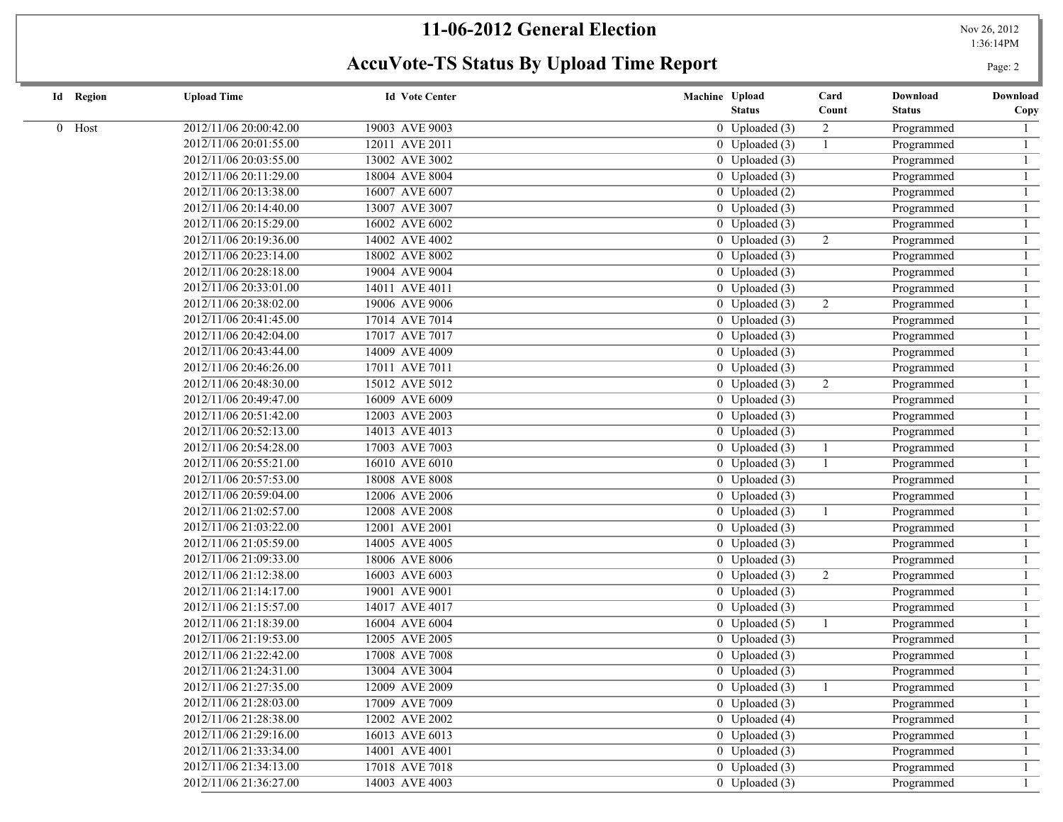## **11-06-2012 General Election** Nov 26, 2012

1:36:14PM

# **AccuVote-TS Status By Upload Time Report** Page: 2

| <b>Id</b> Region | <b>Upload Time</b>     | <b>Id Vote Center</b> | Machine Upload                           | Card           | Download      | Download |
|------------------|------------------------|-----------------------|------------------------------------------|----------------|---------------|----------|
|                  |                        |                       | <b>Status</b>                            | Count          | <b>Status</b> | Copy     |
| 0 Host           | 2012/11/06 20:00:42.00 | 19003 AVE 9003        | $0$ Uploaded $(3)$                       | $\overline{2}$ | Programmed    |          |
|                  | 2012/11/06 20:01:55.00 | 12011 AVE 2011        | 0 Uploaded $(3)$                         |                | Programmed    |          |
|                  | 2012/11/06 20:03:55.00 | 13002 AVE 3002        | $\overline{0}$ Uploaded (3)              |                | Programmed    |          |
|                  | 2012/11/06 20:11:29.00 | 18004 AVE 8004        | $0$ Uploaded $(3)$                       |                | Programmed    |          |
|                  | 2012/11/06 20:13:38.00 | 16007 AVE 6007        | $0$ Uploaded $(2)$                       |                | Programmed    |          |
|                  | 2012/11/06 20:14:40.00 | 13007 AVE 3007        | $0$ Uploaded $(3)$                       |                | Programmed    |          |
|                  | 2012/11/06 20:15:29.00 | 16002 AVE 6002        | $0$ Uploaded $(3)$                       |                | Programmed    |          |
|                  | 2012/11/06 20:19:36.00 | 14002 AVE 4002        | $\overline{0}$ Uploaded (3)              | $\overline{2}$ | Programmed    |          |
|                  | 2012/11/06 20:23:14.00 | 18002 AVE 8002        | $\overline{0}$ Uploaded (3)              |                | Programmed    |          |
|                  | 2012/11/06 20:28:18.00 | 19004 AVE 9004        | $\overline{0}$ Uploaded (3)              |                | Programmed    |          |
|                  | 2012/11/06 20:33:01.00 | 14011 AVE 4011        | $0$ Uploaded $(3)$                       |                | Programmed    |          |
|                  | 2012/11/06 20:38:02.00 | 19006 AVE 9006        | $0$ Uploaded $(3)$                       | $\overline{2}$ | Programmed    |          |
|                  | 2012/11/06 20:41:45.00 | 17014 AVE 7014        | 0 Uploaded $(3)$                         |                | Programmed    |          |
|                  | 2012/11/06 20:42:04.00 | 17017 AVE 7017        | $0$ Uploaded $(3)$                       |                | Programmed    |          |
|                  | 2012/11/06 20:43:44.00 | 14009 AVE 4009        | $0$ Uploaded $(3)$                       |                | Programmed    |          |
|                  | 2012/11/06 20:46:26.00 | 17011 AVE 7011        | $0$ Uploaded $(3)$                       |                | Programmed    |          |
|                  | 2012/11/06 20:48:30.00 | 15012 AVE 5012        | $0$ Uploaded $(3)$                       | $\overline{2}$ | Programmed    |          |
|                  | 2012/11/06 20:49:47.00 | 16009 AVE 6009        | $0$ Uploaded $(3)$                       |                | Programmed    |          |
|                  | 2012/11/06 20:51:42.00 | 12003 AVE 2003        | $0$ Uploaded $(3)$                       |                | Programmed    |          |
|                  | 2012/11/06 20:52:13.00 | 14013 AVE 4013        | $\overline{0}$ Uploaded (3)              |                | Programmed    |          |
|                  | 2012/11/06 20:54:28.00 | 17003 AVE 7003        | $0$ Uploaded $(3)$                       |                | Programmed    |          |
|                  | 2012/11/06 20:55:21.00 | 16010 AVE 6010        | $\overline{0}$ Uploaded (3)              |                | Programmed    |          |
|                  | 2012/11/06 20:57:53.00 | 18008 AVE 8008        | $\overline{0}$ Uploaded (3)              |                | Programmed    |          |
|                  | 2012/11/06 20:59:04.00 | 12006 AVE 2006        | $\overline{0}$ Uploaded (3)              |                | Programmed    |          |
|                  | 2012/11/06 21:02:57.00 | 12008 AVE 2008        | $0$ Uploaded $(3)$                       |                | Programmed    |          |
|                  | 2012/11/06 21:03:22.00 | 12001 AVE 2001        | $\overline{0}$ Uploaded (3)              |                | Programmed    |          |
|                  | 2012/11/06 21:05:59.00 | 14005 AVE 4005        | $\overline{0}$ Uploaded (3)              |                | Programmed    |          |
|                  | 2012/11/06 21:09:33.00 | 18006 AVE 8006        | $0$ Uploaded $(3)$                       |                | Programmed    |          |
|                  | 2012/11/06 21:12:38.00 | 16003 AVE 6003        | $0$ Uploaded $(3)$                       | 2              | Programmed    |          |
|                  | 2012/11/06 21:14:17.00 | 19001 AVE 9001        | $0$ Uploaded $(3)$                       |                | Programmed    |          |
|                  | 2012/11/06 21:15:57.00 | 14017 AVE 4017        | $0$ Uploaded $(3)$                       |                | Programmed    |          |
|                  | 2012/11/06 21:18:39.00 | 16004 AVE 6004        | $0$ Uploaded $(5)$                       |                | Programmed    |          |
|                  | 2012/11/06 21:19:53.00 | 12005 AVE 2005        | $0$ Uploaded $(3)$                       |                | Programmed    |          |
|                  | 2012/11/06 21:22:42.00 | 17008 AVE 7008        | $0$ Uploaded $(3)$                       |                | Programmed    |          |
|                  | 2012/11/06 21:24:31.00 | 13004 AVE 3004        | 0 Uploaded $(3)$                         |                | Programmed    |          |
|                  | 2012/11/06 21:27:35.00 | 12009 AVE 2009        | $\overline{0}$ Uploaded $\overline{(3)}$ |                | Programmed    |          |
|                  | 2012/11/06 21:28:03.00 | 17009 AVE 7009        | 0 Uploaded $(3)$                         |                | Programmed    |          |
|                  | 2012/11/06 21:28:38.00 | 12002 AVE 2002        | $0$ Uploaded $(4)$                       |                | Programmed    |          |
|                  | 2012/11/06 21:29:16.00 | 16013 AVE 6013        | $0$ Uploaded $(3)$                       |                | Programmed    |          |
|                  | 2012/11/06 21:33:34.00 | 14001 AVE 4001        | $0$ Uploaded $(3)$                       |                | Programmed    |          |
|                  | 2012/11/06 21:34:13.00 | 17018 AVE 7018        | $0$ Uploaded $(3)$                       |                | Programmed    |          |
|                  | 2012/11/06 21:36:27.00 | 14003 AVE 4003        | $0$ Uploaded $(3)$                       |                | Programmed    |          |
|                  |                        |                       |                                          |                |               |          |